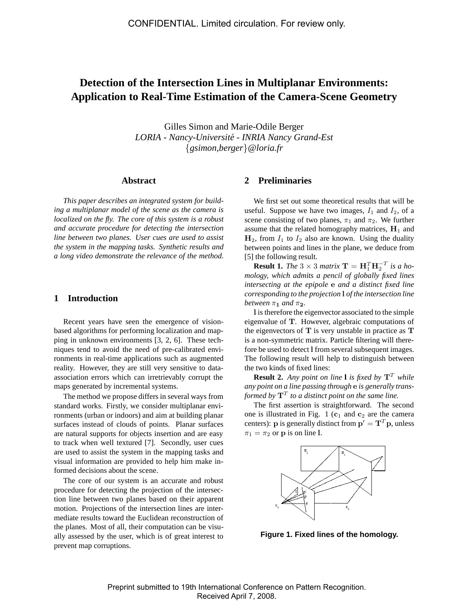# **Detection of the Intersection Lines in Multiplanar Environments: Application to Real-Time Estimation of the Camera-Scene Geometry**

Gilles Simon and Marie-Odile Berger *LORIA - Nancy-Universite - INRIA Nancy Grand-Est ´* {*gsimon,berger*}*@loria.fr*

#### **Abstract**

*This paper describes an integrated system for building a multiplanar model of the scene as the camera is localized on the fly. The core of this system is a robust and accurate procedure for detecting the intersection line between two planes. User cues are used to assist the system in the mapping tasks. Synthetic results and a long video demonstrate the relevance of the method.*

## **1 Introduction**

Recent years have seen the emergence of visionbased algorithms for performing localization and mapping in unknown environments [3, 2, 6]. These techniques tend to avoid the need of pre-calibrated environments in real-time applications such as augmented reality. However, they are still very sensitive to dataassociation errors which can irretrievably corrupt the maps generated by incremental systems.

The method we propose differs in several ways from standard works. Firstly, we consider multiplanar environments (urban or indoors) and aim at building planar surfaces instead of clouds of points. Planar surfaces are natural supports for objects insertion and are easy to track when well textured [7]. Secondly, user cues are used to assist the system in the mapping tasks and visual information are provided to help him make informed decisions about the scene.

The core of our system is an accurate and robust procedure for detecting the projection of the intersection line between two planes based on their apparent motion. Projections of the intersection lines are intermediate results toward the Euclidean reconstruction of the planes. Most of all, their computation can be visually assessed by the user, which is of great interest to prevent map corruptions.

# **2 Preliminaries**

We first set out some theoretical results that will be useful. Suppose we have two images,  $I_1$  and  $I_2$ , of a scene consisting of two planes,  $\pi_1$  and  $\pi_2$ . We further assume that the related homography matrices,  $H_1$  and  $H_2$ , from  $I_1$  to  $I_2$  also are known. Using the duality between points and lines in the plane, we deduce from [5] the following result.

**Result 1.** *The*  $3 \times 3$  *matrix*  $\mathbf{T} = \mathbf{H}_1^T \mathbf{H}_2^{-T}$  *is a homology, which admits a pencil of globally fixed lines intersecting at the epipole* e *and a distinct fixed line corresponding to the projection* l *of the intersection line between*  $\pi_1$  *and*  $\pi_2$ *.* 

l is therefore the eigenvector associated to the simple eigenvalue of T. However, algebraic computations of the eigenvectors of  $T$  is very unstable in practice as  $T$ is a non-symmetric matrix. Particle filtering will therefore be used to detect l from several subsequent images. The following result will help to distinguish between the two kinds of fixed lines:

**Result 2.** *Any point on line* **l** *is fixed by*  $T^T$  *while any point on a line passing through* e *is generally transformed by*  $\mathbf{T}^T$  to a distinct point on the same line.

The first assertion is straightforward. The second one is illustrated in Fig. 1 ( $c_1$  and  $c_2$  are the camera centers): **p** is generally distinct from  $\mathbf{p}' = \mathbf{T}^T \mathbf{p}$ , unless  $\pi_1 = \pi_2$  or **p** is on line 1.



**Figure 1. Fixed lines of the homology.**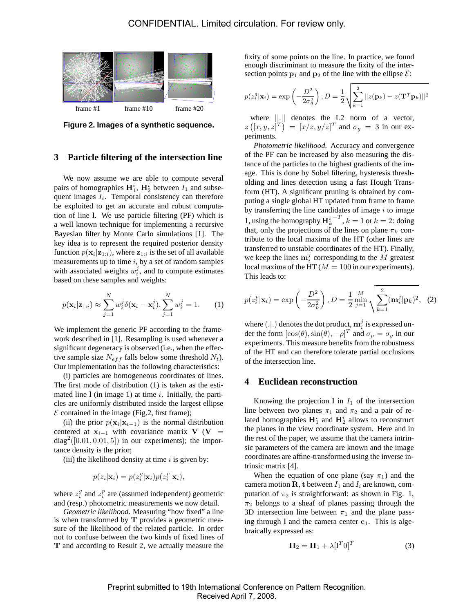

**Figure 2. Images of a synthetic sequence.**

### **3 Particle filtering of the intersection line**

We now assume we are able to compute several pairs of homographies  $H_1^i$ ,  $H_2^i$  between  $I_1$  and subsequent images  $I_i$ . Temporal consistency can therefore be exploited to get an accurate and robust computation of line l. We use particle filtering (PF) which is a well known technique for implementing a recursive Bayesian filter by Monte Carlo simulations [1]. The key idea is to represent the required posterior density function  $p(\mathbf{x}_i|\mathbf{z}_{1:i})$ , where  $\mathbf{z}_{1:i}$  is the set of all available measurements up to time  $i$ , by a set of random samples with associated weights  $w_i^j$ , and to compute estimates based on these samples and weights:

$$
p(\mathbf{x}_i|\mathbf{z}_{1:i}) \approx \sum_{j=1}^N w_i^j \delta(\mathbf{x}_i - \mathbf{x}_i^j), \sum_{j=1}^N w_i^j = 1.
$$
 (1)

We implement the generic PF according to the framework described in [1]. Resampling is used whenever a significant degeneracy is observed (i.e., when the effective sample size  $N_{eff}$  falls below some threshold  $N_t$ ). Our implementation has the following characteristics:

(i) particles are homogeneous coordinates of lines. The first mode of distribution (1) is taken as the estimated line  $l$  (in image 1) at time *i*. Initially, the particles are uniformly distributed inside the largest ellipse  $E$  contained in the image (Fig.2, first frame);

(ii) the prior  $p(\mathbf{x}_i | \mathbf{x}_{i-1})$  is the normal distribution centered at  $x_{i-1}$  with covariance matrix V (V =  $diag<sup>2</sup>([0.01, 0.01, 5])$  in our experiments); the importance density is the prior;

(iii) the likelihood density at time  $i$  is given by:

$$
p(z_i|\mathbf{x}_i) = p(z_i^g|\mathbf{x}_i)p(z_i^p|\mathbf{x}_i),
$$

where  $z_i^g$  and  $z_i^p$  are (assumed independent) geometric and (resp.) photometric measurements we now detail.

*Geometric likelihood.* Measuring "how fixed" a line is when transformed by  $T$  provides a geometric measure of the likelihood of the related particle. In order not to confuse between the two kinds of fixed lines of T and according to Result 2, we actually measure the fixity of some points on the line. In practice, we found enough discriminant to measure the fixity of the intersection points  $\mathbf{p}_1$  and  $\mathbf{p}_2$  of the line with the ellipse  $\mathcal{E}$ :

$$
p(z_i^g|\mathbf{x}_i) = \exp\left(-\frac{D^2}{2\sigma_g^2}\right), D = \frac{1}{2}\sqrt{\sum_{k=1}^2 ||z(\mathbf{p}_k) - z(\mathbf{T}^T \mathbf{p}_k)||^2}
$$

where  $\|\cdot\|$  denotes the L2 norm of a vector,  $z([x,y,z]^T) = [x/z, y/z]^T$  and  $\sigma_g = 3$  in our experiments.

*Photometric likelihood.* Accuracy and convergence of the PF can be increased by also measuring the distance of the particles to the highest gradients of the image. This is done by Sobel filtering, hysteresis thresholding and lines detection using a fast Hough Transform (HT). A significant pruning is obtained by computing a single global HT updated from frame to frame by transferring the line candidates of image  $i$  to image 1, using the homography  $\mathbf{H}_k^i$  $\overline{r}$ ,  $k = 1$  or  $k = 2$ : doing that, only the projections of the lines on plane  $\pi_k$  contribute to the local maxima of the HT (other lines are transferred to unstable coordinates of the HT). Finally, we keep the lines  $\mathbf{m}_i^j$  corresponding to the M greatest local maxima of the HT ( $M = 100$  in our experiments). This leads to:

$$
p(z_i^p | \mathbf{x}_i) = \exp\left(-\frac{D^2}{2\sigma_p^2}\right), D = \frac{1}{2} \min_{j=1}^M \sqrt{\sum_{k=1}^2 (\mathbf{m}_i^j | \mathbf{p}_k)^2}, \quad (2)
$$

where  $(.|.)$  denotes the dot product,  $\mathbf{m}_i^j$  is expressed under the form  $[\cos(\theta), \sin(\theta), -\rho]^T$  and  $\sigma_p = \sigma_g$  in our experiments. This measure benefits from the robustness of the HT and can therefore tolerate partial occlusions of the intersection line.

#### **4 Euclidean reconstruction**

Knowing the projection 1 in  $I_1$  of the intersection line between two planes  $\pi_1$  and  $\pi_2$  and a pair of related homographies  $\mathbf{H}_{1}^{i}$  and  $\mathbf{H}_{2}^{i}$  allows to reconstruct the planes in the view coordinate system. Here and in the rest of the paper, we assume that the camera intrinsic parameters of the camera are known and the image coordinates are affine-transformed using the inverse intrinsic matrix [4].

When the equation of one plane (say  $\pi_1$ ) and the camera motion  $\mathbf{R}$ , t between  $I_1$  and  $I_i$  are known, computation of  $\pi_2$  is straightforward: as shown in Fig. 1,  $\pi_2$  belongs to a sheaf of planes passing through the 3D intersection line between  $\pi_1$  and the plane passing through  $l$  and the camera center  $c_1$ . This is algebraically expressed as:

$$
\Pi_2 = \Pi_1 + \lambda [\mathbf{1}^T \mathbf{0}]^T \tag{3}
$$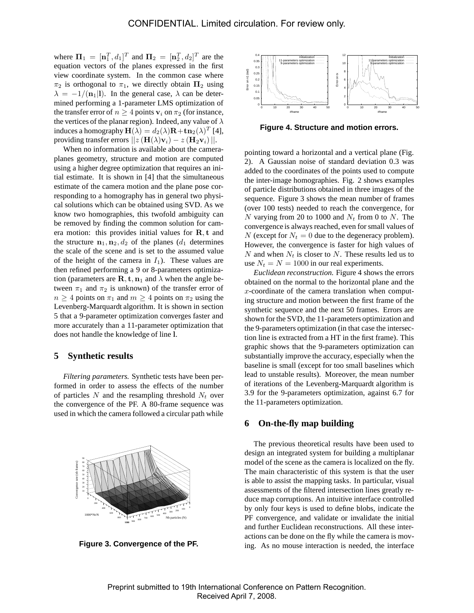where  $\mathbf{\Pi}_1 = [\mathbf{n}_1^T, d_1]^T$  and  $\mathbf{\Pi}_2 = [\mathbf{n}_2^T, d_2]^T$  are the equation vectors of the planes expressed in the first view coordinate system. In the common case where  $\pi_2$  is orthogonal to  $\pi_1$ , we directly obtain  $\Pi_2$  using  $\lambda = -1/(\mathbf{n}_1|\mathbf{l})$ . In the general case,  $\lambda$  can be determined performing a 1-parameter LMS optimization of the transfer error of  $n > 4$  points  $v_i$  on  $\pi_2$  (for instance, the vertices of the planar region). Indeed, any value of  $\lambda$ induces a homography  $\mathbf{H}(\lambda) = d_2(\lambda)\mathbf{R} + \mathbf{tn}_2(\lambda)^T$  [4], providing transfer errors  $||z(\mathbf{H}(\lambda)\mathbf{v}_i) - z(\mathbf{H}_2\mathbf{v}_i)||$ .

When no information is available about the cameraplanes geometry, structure and motion are computed using a higher degree optimization that requires an initial estimate. It is shown in [4] that the simultaneous estimate of the camera motion and the plane pose corresponding to a homography has in general two physical solutions which can be obtained using SVD. As we know two homographies, this twofold ambiguity can be removed by finding the common solution for camera motion: this provides initial values for R, t and the structure  $n_1, n_2, d_2$  of the planes ( $d_1$  determines the scale of the scene and is set to the assumed value of the height of the camera in  $I_1$ ). These values are then refined performing a 9 or 8-parameters optimization (parameters are  $\mathbf{R}, \mathbf{t}, \mathbf{n}_1$  and  $\lambda$  when the angle between  $\pi_1$  and  $\pi_2$  is unknown) of the transfer error of  $n \geq 4$  points on  $\pi_1$  and  $m \geq 4$  points on  $\pi_2$  using the Levenberg-Marquardt algorithm. It is shown in section 5 that a 9-parameter optimization converges faster and more accurately than a 11-parameter optimization that does not handle the knowledge of line l.

### **5 Synthetic results**

*Filtering parameters.* Synthetic tests have been performed in order to assess the effects of the number of particles  $N$  and the resampling threshold  $N_t$  over the convergence of the PF. A 80-frame sequence was used in which the camera followed a circular path while



**Figure 3. Convergence of the PF.**



**Figure 4. Structure and motion errors.**

pointing toward a horizontal and a vertical plane (Fig. 2). A Gaussian noise of standard deviation 0.3 was added to the coordinates of the points used to compute the inter-image homographies. Fig. 2 shows examples of particle distributions obtained in three images of the sequence. Figure 3 shows the mean number of frames (over 100 tests) needed to reach the convergence, for N varying from 20 to 1000 and  $N_t$  from 0 to N. The convergence is always reached, even for small values of N (except for  $N_t = 0$  due to the degeneracy problem). However, the convergence is faster for high values of  $N$  and when  $N_t$  is closer to  $N$ . These results led us to use  $N_t = N = 1000$  in our real experiments.

*Euclidean reconstruction.* Figure 4 shows the errors obtained on the normal to the horizontal plane and the  $x$ -coordinate of the camera translation when computing structure and motion between the first frame of the synthetic sequence and the next 50 frames. Errors are shown for the SVD, the 11-parameters optimization and the 9-parameters optimization (in that case the intersection line is extracted from a HT in the first frame). This graphic shows that the 9-parameters optimization can substantially improve the accuracy, especially when the baseline is small (except for too small baselines which lead to unstable results). Moreover, the mean number of iterations of the Levenberg-Marquardt algorithm is 3.9 for the 9-parameters optimization, against 6.7 for the 11-parameters optimization.

# **6 On-the-fly map building**

The previous theoretical results have been used to design an integrated system for building a multiplanar model of the scene as the camera is localized on the fly. The main characteristic of this system is that the user is able to assist the mapping tasks. In particular, visual assessments of the filtered intersection lines greatly reduce map corruptions. An intuitive interface controlled by only four keys is used to define blobs, indicate the PF convergence, and validate or invalidate the initial and further Euclidean reconstructions. All these interactions can be done on the fly while the camera is moving. As no mouse interaction is needed, the interface